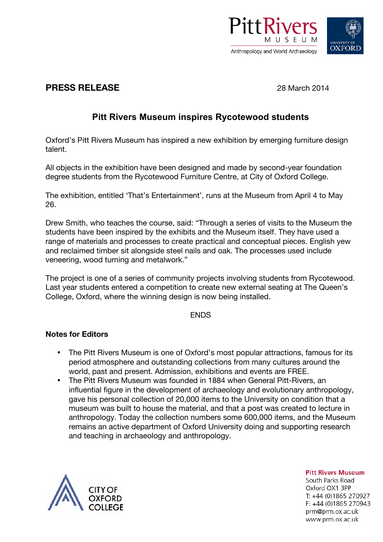

# **OXFORD**

### **PRESS RELEASE** 28 March 2014

## **Pitt Rivers Museum inspires Rycotewood students**

Oxford's Pitt Rivers Museum has inspired a new exhibition by emerging furniture design talent.

All objects in the exhibition have been designed and made by second-year foundation degree students from the Rycotewood Furniture Centre, at City of Oxford College.

The exhibition, entitled 'That's Entertainment', runs at the Museum from April 4 to May 26.

Drew Smith, who teaches the course, said: "Through a series of visits to the Museum the students have been inspired by the exhibits and the Museum itself. They have used a range of materials and processes to create practical and conceptual pieces. English yew and reclaimed timber sit alongside steel nails and oak. The processes used include veneering, wood turning and metalwork."

The project is one of a series of community projects involving students from Rycotewood. Last year students entered a competition to create new external seating at The Queen's College, Oxford, where the winning design is now being installed.

**FNDS** 

#### **Notes for Editors**

- The Pitt Rivers Museum is one of Oxford's most popular attractions, famous for its period atmosphere and outstanding collections from many cultures around the world, past and present. Admission, exhibitions and events are FREE.
- The Pitt Rivers Museum was founded in 1884 when General Pitt-Rivers, an influential figure in the development of archaeology and evolutionary anthropology, gave his personal collection of 20,000 items to the University on condition that a museum was built to house the material, and that a post was created to lecture in anthropology. Today the collection numbers some 600,000 items, and the Museum remains an active department of Oxford University doing and supporting research and teaching in archaeology and anthropology.



**Pitt Rivers Museum** South Parks Road Oxford OX1 3PP T: +44 (0)1865 270927  $F: +44(0)1865270943$ prm@prm.ox.ac.uk www.prm.ox.ac.uk